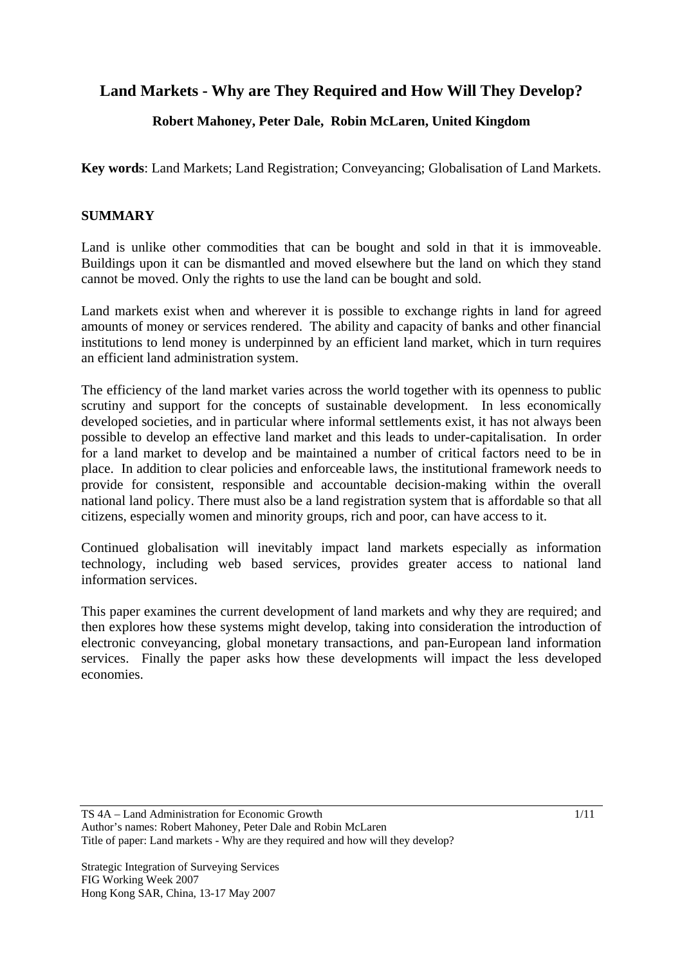# **Land Markets - Why are They Required and How Will They Develop?**

# **Robert Mahoney, Peter Dale, Robin McLaren, United Kingdom**

**Key words**: Land Markets; Land Registration; Conveyancing; Globalisation of Land Markets.

## **SUMMARY**

Land is unlike other commodities that can be bought and sold in that it is immoveable. Buildings upon it can be dismantled and moved elsewhere but the land on which they stand cannot be moved. Only the rights to use the land can be bought and sold.

Land markets exist when and wherever it is possible to exchange rights in land for agreed amounts of money or services rendered. The ability and capacity of banks and other financial institutions to lend money is underpinned by an efficient land market, which in turn requires an efficient land administration system.

The efficiency of the land market varies across the world together with its openness to public scrutiny and support for the concepts of sustainable development. In less economically developed societies, and in particular where informal settlements exist, it has not always been possible to develop an effective land market and this leads to under-capitalisation. In order for a land market to develop and be maintained a number of critical factors need to be in place. In addition to clear policies and enforceable laws, the institutional framework needs to provide for consistent, responsible and accountable decision-making within the overall national land policy. There must also be a land registration system that is affordable so that all citizens, especially women and minority groups, rich and poor, can have access to it.

Continued globalisation will inevitably impact land markets especially as information technology, including web based services, provides greater access to national land information services.

This paper examines the current development of land markets and why they are required; and then explores how these systems might develop, taking into consideration the introduction of electronic conveyancing, global monetary transactions, and pan-European land information services. Finally the paper asks how these developments will impact the less developed economies.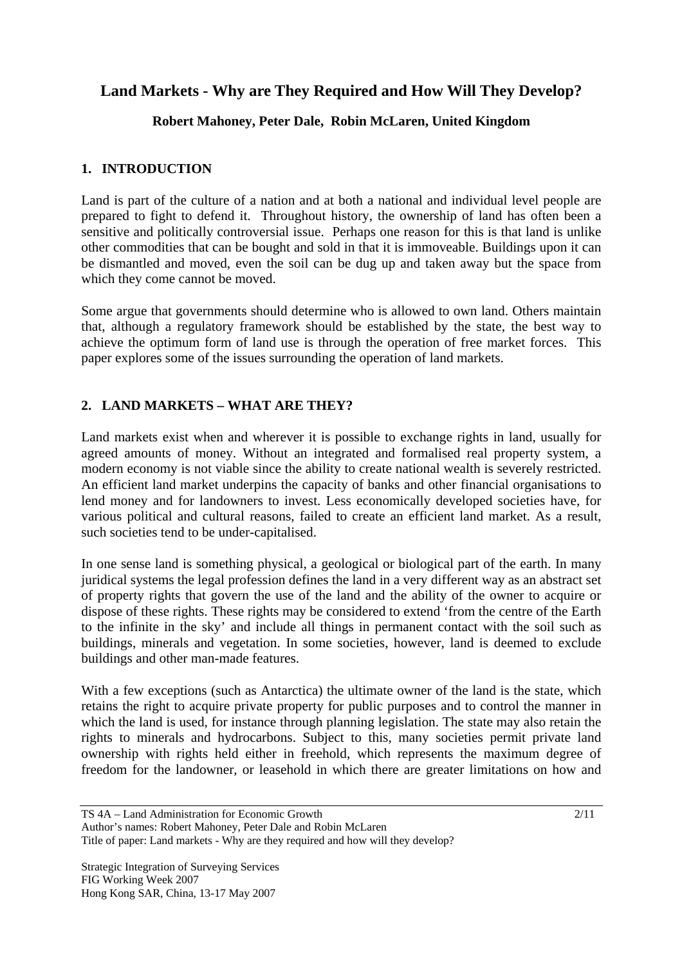# **Land Markets - Why are They Required and How Will They Develop?**

## **Robert Mahoney, Peter Dale, Robin McLaren, United Kingdom**

#### **1. INTRODUCTION**

Land is part of the culture of a nation and at both a national and individual level people are prepared to fight to defend it. Throughout history, the ownership of land has often been a sensitive and politically controversial issue. Perhaps one reason for this is that land is unlike other commodities that can be bought and sold in that it is immoveable. Buildings upon it can be dismantled and moved, even the soil can be dug up and taken away but the space from which they come cannot be moved.

Some argue that governments should determine who is allowed to own land. Others maintain that, although a regulatory framework should be established by the state, the best way to achieve the optimum form of land use is through the operation of free market forces. This paper explores some of the issues surrounding the operation of land markets.

## **2. LAND MARKETS – WHAT ARE THEY?**

Land markets exist when and wherever it is possible to exchange rights in land, usually for agreed amounts of money. Without an integrated and formalised real property system, a modern economy is not viable since the ability to create national wealth is severely restricted. An efficient land market underpins the capacity of banks and other financial organisations to lend money and for landowners to invest. Less economically developed societies have, for various political and cultural reasons, failed to create an efficient land market. As a result, such societies tend to be under-capitalised.

In one sense land is something physical, a geological or biological part of the earth. In many juridical systems the legal profession defines the land in a very different way as an abstract set of property rights that govern the use of the land and the ability of the owner to acquire or dispose of these rights. These rights may be considered to extend 'from the centre of the Earth to the infinite in the sky' and include all things in permanent contact with the soil such as buildings, minerals and vegetation. In some societies, however, land is deemed to exclude buildings and other man-made features.

With a few exceptions (such as Antarctica) the ultimate owner of the land is the state, which retains the right to acquire private property for public purposes and to control the manner in which the land is used, for instance through planning legislation. The state may also retain the rights to minerals and hydrocarbons. Subject to this, many societies permit private land ownership with rights held either in freehold, which represents the maximum degree of freedom for the landowner, or leasehold in which there are greater limitations on how and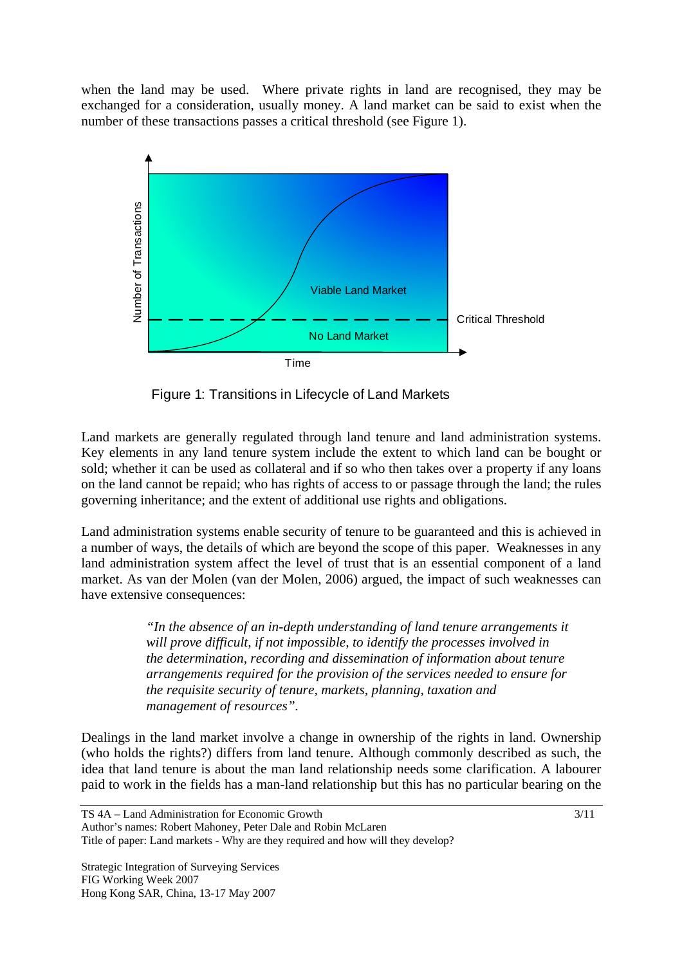when the land may be used. Where private rights in land are recognised, they may be exchanged for a consideration, usually money. A land market can be said to exist when the number of these transactions passes a critical threshold (see Figure 1).



Figure 1: Transitions in Lifecycle of Land Markets

Land markets are generally regulated through land tenure and land administration systems. Key elements in any land tenure system include the extent to which land can be bought or sold; whether it can be used as collateral and if so who then takes over a property if any loans on the land cannot be repaid; who has rights of access to or passage through the land; the rules governing inheritance; and the extent of additional use rights and obligations.

Land administration systems enable security of tenure to be guaranteed and this is achieved in a number of ways, the details of which are beyond the scope of this paper. Weaknesses in any land administration system affect the level of trust that is an essential component of a land market. As van der Molen (van der Molen, 2006) argued, the impact of such weaknesses can have extensive consequences:

> *"In the absence of an in-depth understanding of land tenure arrangements it will prove difficult, if not impossible, to identify the processes involved in the determination, recording and dissemination of information about tenure arrangements required for the provision of the services needed to ensure for the requisite security of tenure, markets, planning, taxation and management of resources".*

Dealings in the land market involve a change in ownership of the rights in land. Ownership (who holds the rights?) differs from land tenure. Although commonly described as such, the idea that land tenure is about the man land relationship needs some clarification. A labourer paid to work in the fields has a man-land relationship but this has no particular bearing on the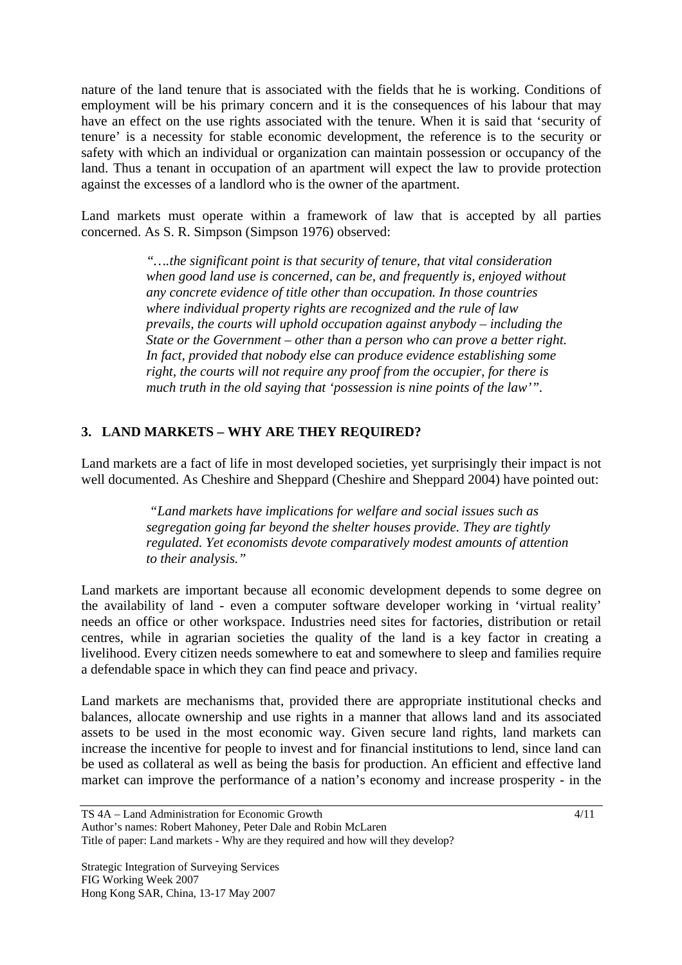nature of the land tenure that is associated with the fields that he is working. Conditions of employment will be his primary concern and it is the consequences of his labour that may have an effect on the use rights associated with the tenure. When it is said that 'security of tenure' is a necessity for stable economic development, the reference is to the security or safety with which an individual or organization can maintain possession or occupancy of the land. Thus a tenant in occupation of an apartment will expect the law to provide protection against the excesses of a landlord who is the owner of the apartment.

Land markets must operate within a framework of law that is accepted by all parties concerned. As S. R. Simpson (Simpson 1976) observed:

> *"….the significant point is that security of tenure, that vital consideration when good land use is concerned, can be, and frequently is, enjoyed without any concrete evidence of title other than occupation. In those countries where individual property rights are recognized and the rule of law prevails, the courts will uphold occupation against anybody – including the State or the Government – other than a person who can prove a better right. In fact, provided that nobody else can produce evidence establishing some right, the courts will not require any proof from the occupier, for there is much truth in the old saying that 'possession is nine points of the law'".*

## **3. LAND MARKETS – WHY ARE THEY REQUIRED?**

Land markets are a fact of life in most developed societies, yet surprisingly their impact is not well documented. As Cheshire and Sheppard (Cheshire and Sheppard 2004) have pointed out:

> *"Land markets have implications for welfare and social issues such as segregation going far beyond the shelter houses provide. They are tightly regulated. Yet economists devote comparatively modest amounts of attention to their analysis."*

Land markets are important because all economic development depends to some degree on the availability of land - even a computer software developer working in 'virtual reality' needs an office or other workspace. Industries need sites for factories, distribution or retail centres, while in agrarian societies the quality of the land is a key factor in creating a livelihood. Every citizen needs somewhere to eat and somewhere to sleep and families require a defendable space in which they can find peace and privacy.

Land markets are mechanisms that, provided there are appropriate institutional checks and balances, allocate ownership and use rights in a manner that allows land and its associated assets to be used in the most economic way. Given secure land rights, land markets can increase the incentive for people to invest and for financial institutions to lend, since land can be used as collateral as well as being the basis for production. An efficient and effective land market can improve the performance of a nation's economy and increase prosperity - in the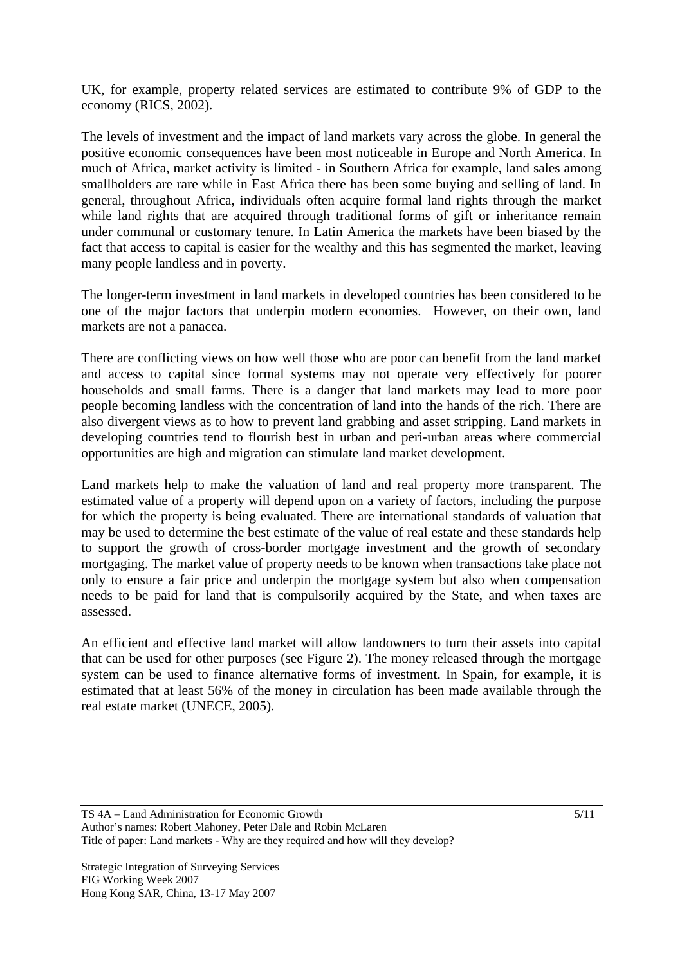UK, for example, property related services are estimated to contribute 9% of GDP to the economy (RICS, 2002).

The levels of investment and the impact of land markets vary across the globe. In general the positive economic consequences have been most noticeable in Europe and North America. In much of Africa, market activity is limited - in Southern Africa for example, land sales among smallholders are rare while in East Africa there has been some buying and selling of land. In general, throughout Africa, individuals often acquire formal land rights through the market while land rights that are acquired through traditional forms of gift or inheritance remain under communal or customary tenure. In Latin America the markets have been biased by the fact that access to capital is easier for the wealthy and this has segmented the market, leaving many people landless and in poverty.

The longer-term investment in land markets in developed countries has been considered to be one of the major factors that underpin modern economies. However, on their own, land markets are not a panacea.

There are conflicting views on how well those who are poor can benefit from the land market and access to capital since formal systems may not operate very effectively for poorer households and small farms. There is a danger that land markets may lead to more poor people becoming landless with the concentration of land into the hands of the rich. There are also divergent views as to how to prevent land grabbing and asset stripping. Land markets in developing countries tend to flourish best in urban and peri-urban areas where commercial opportunities are high and migration can stimulate land market development.

Land markets help to make the valuation of land and real property more transparent. The estimated value of a property will depend upon on a variety of factors, including the purpose for which the property is being evaluated. There are international standards of valuation that may be used to determine the best estimate of the value of real estate and these standards help to support the growth of cross-border mortgage investment and the growth of secondary mortgaging. The market value of property needs to be known when transactions take place not only to ensure a fair price and underpin the mortgage system but also when compensation needs to be paid for land that is compulsorily acquired by the State, and when taxes are assessed.

An efficient and effective land market will allow landowners to turn their assets into capital that can be used for other purposes (see Figure 2). The money released through the mortgage system can be used to finance alternative forms of investment. In Spain, for example, it is estimated that at least 56% of the money in circulation has been made available through the real estate market (UNECE, 2005).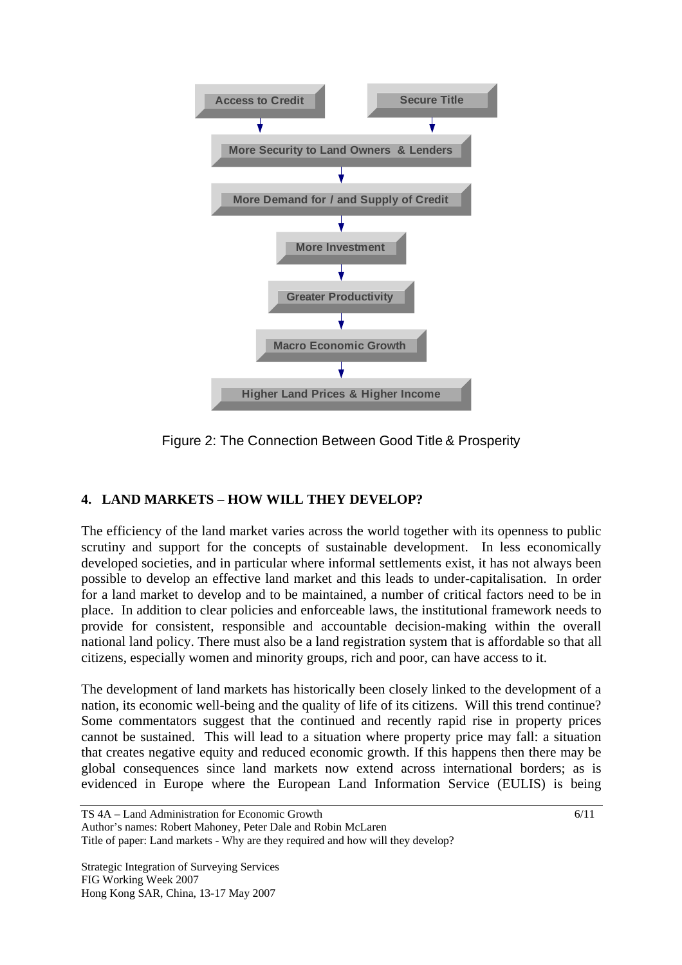

Figure 2: The Connection Between Good Title & Prosperity

## **4. LAND MARKETS – HOW WILL THEY DEVELOP?**

The efficiency of the land market varies across the world together with its openness to public scrutiny and support for the concepts of sustainable development. In less economically developed societies, and in particular where informal settlements exist, it has not always been possible to develop an effective land market and this leads to under-capitalisation. In order for a land market to develop and to be maintained, a number of critical factors need to be in place. In addition to clear policies and enforceable laws, the institutional framework needs to provide for consistent, responsible and accountable decision-making within the overall national land policy. There must also be a land registration system that is affordable so that all citizens, especially women and minority groups, rich and poor, can have access to it.

The development of land markets has historically been closely linked to the development of a nation, its economic well-being and the quality of life of its citizens. Will this trend continue? Some commentators suggest that the continued and recently rapid rise in property prices cannot be sustained. This will lead to a situation where property price may fall: a situation that creates negative equity and reduced economic growth. If this happens then there may be global consequences since land markets now extend across international borders; as is evidenced in Europe where the European Land Information Service (EULIS) is being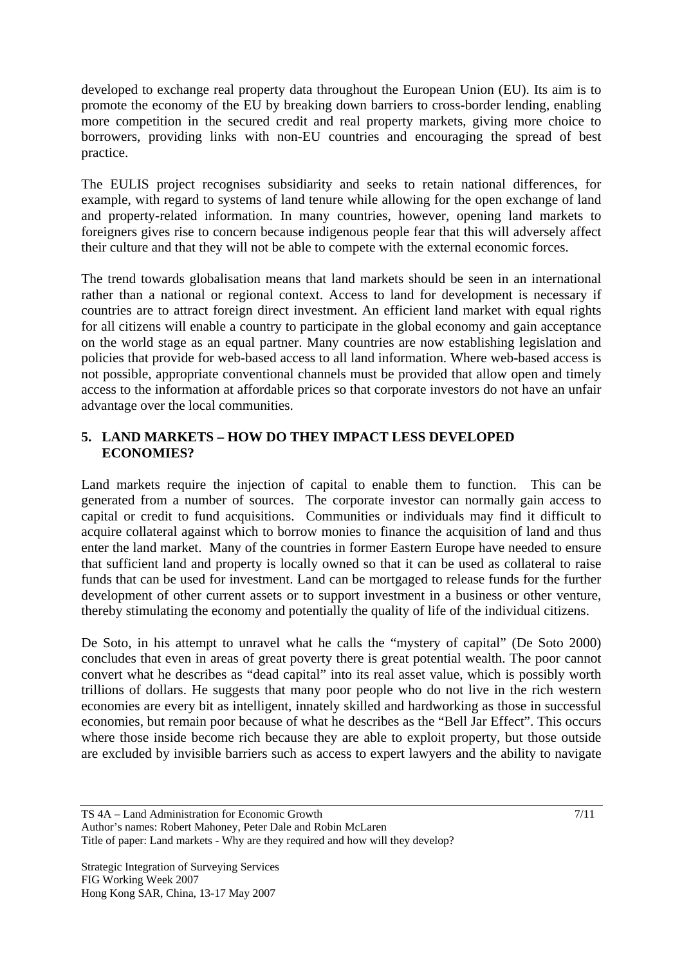developed to exchange real property data throughout the European Union (EU). Its aim is to promote the economy of the EU by breaking down barriers to cross-border lending, enabling more competition in the secured credit and real property markets, giving more choice to borrowers, providing links with non-EU countries and encouraging the spread of best practice.

The EULIS project recognises subsidiarity and seeks to retain national differences, for example, with regard to systems of land tenure while allowing for the open exchange of land and property-related information. In many countries, however, opening land markets to foreigners gives rise to concern because indigenous people fear that this will adversely affect their culture and that they will not be able to compete with the external economic forces.

The trend towards globalisation means that land markets should be seen in an international rather than a national or regional context. Access to land for development is necessary if countries are to attract foreign direct investment. An efficient land market with equal rights for all citizens will enable a country to participate in the global economy and gain acceptance on the world stage as an equal partner. Many countries are now establishing legislation and policies that provide for web-based access to all land information. Where web-based access is not possible, appropriate conventional channels must be provided that allow open and timely access to the information at affordable prices so that corporate investors do not have an unfair advantage over the local communities.

## **5. LAND MARKETS – HOW DO THEY IMPACT LESS DEVELOPED ECONOMIES?**

Land markets require the injection of capital to enable them to function. This can be generated from a number of sources. The corporate investor can normally gain access to capital or credit to fund acquisitions. Communities or individuals may find it difficult to acquire collateral against which to borrow monies to finance the acquisition of land and thus enter the land market. Many of the countries in former Eastern Europe have needed to ensure that sufficient land and property is locally owned so that it can be used as collateral to raise funds that can be used for investment. Land can be mortgaged to release funds for the further development of other current assets or to support investment in a business or other venture, thereby stimulating the economy and potentially the quality of life of the individual citizens.

De Soto, in his attempt to unravel what he calls the "mystery of capital" (De Soto 2000) concludes that even in areas of great poverty there is great potential wealth. The poor cannot convert what he describes as "dead capital" into its real asset value, which is possibly worth trillions of dollars. He suggests that many poor people who do not live in the rich western economies are every bit as intelligent, innately skilled and hardworking as those in successful economies, but remain poor because of what he describes as the "Bell Jar Effect". This occurs where those inside become rich because they are able to exploit property, but those outside are excluded by invisible barriers such as access to expert lawyers and the ability to navigate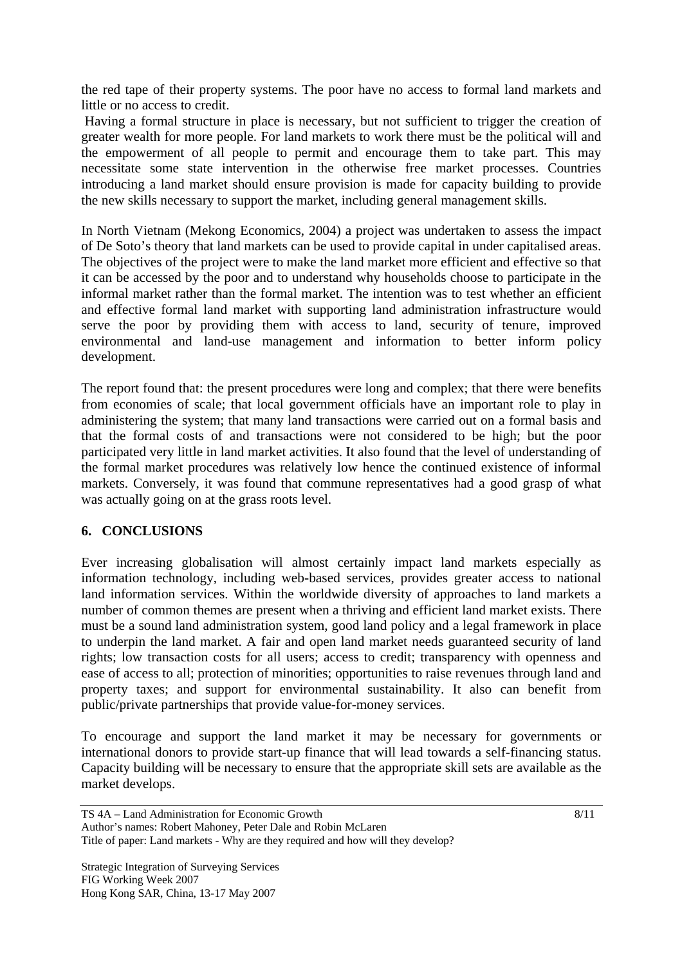the red tape of their property systems. The poor have no access to formal land markets and little or no access to credit.

 Having a formal structure in place is necessary, but not sufficient to trigger the creation of greater wealth for more people. For land markets to work there must be the political will and the empowerment of all people to permit and encourage them to take part. This may necessitate some state intervention in the otherwise free market processes. Countries introducing a land market should ensure provision is made for capacity building to provide the new skills necessary to support the market, including general management skills.

In North Vietnam (Mekong Economics, 2004) a project was undertaken to assess the impact of De Soto's theory that land markets can be used to provide capital in under capitalised areas. The objectives of the project were to make the land market more efficient and effective so that it can be accessed by the poor and to understand why households choose to participate in the informal market rather than the formal market. The intention was to test whether an efficient and effective formal land market with supporting land administration infrastructure would serve the poor by providing them with access to land, security of tenure, improved environmental and land-use management and information to better inform policy development.

The report found that: the present procedures were long and complex; that there were benefits from economies of scale; that local government officials have an important role to play in administering the system; that many land transactions were carried out on a formal basis and that the formal costs of and transactions were not considered to be high; but the poor participated very little in land market activities. It also found that the level of understanding of the formal market procedures was relatively low hence the continued existence of informal markets. Conversely, it was found that commune representatives had a good grasp of what was actually going on at the grass roots level.

#### **6. CONCLUSIONS**

Ever increasing globalisation will almost certainly impact land markets especially as information technology, including web-based services, provides greater access to national land information services. Within the worldwide diversity of approaches to land markets a number of common themes are present when a thriving and efficient land market exists. There must be a sound land administration system, good land policy and a legal framework in place to underpin the land market. A fair and open land market needs guaranteed security of land rights; low transaction costs for all users; access to credit; transparency with openness and ease of access to all; protection of minorities; opportunities to raise revenues through land and property taxes; and support for environmental sustainability. It also can benefit from public/private partnerships that provide value-for-money services.

To encourage and support the land market it may be necessary for governments or international donors to provide start-up finance that will lead towards a self-financing status. Capacity building will be necessary to ensure that the appropriate skill sets are available as the market develops.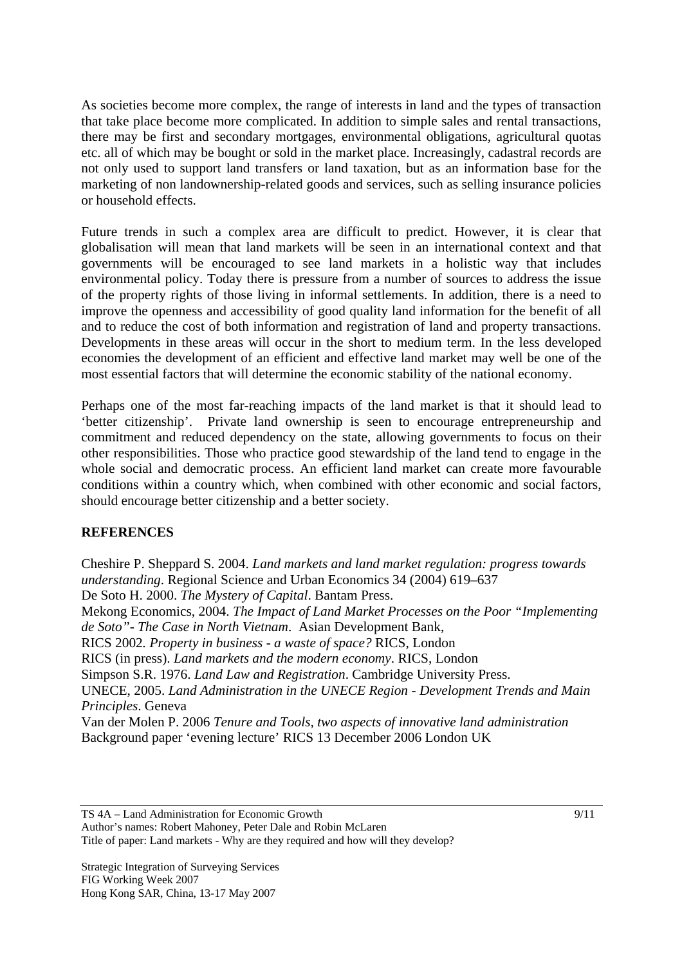As societies become more complex, the range of interests in land and the types of transaction that take place become more complicated. In addition to simple sales and rental transactions, there may be first and secondary mortgages, environmental obligations, agricultural quotas etc. all of which may be bought or sold in the market place. Increasingly, cadastral records are not only used to support land transfers or land taxation, but as an information base for the marketing of non landownership-related goods and services, such as selling insurance policies or household effects.

Future trends in such a complex area are difficult to predict. However, it is clear that globalisation will mean that land markets will be seen in an international context and that governments will be encouraged to see land markets in a holistic way that includes environmental policy. Today there is pressure from a number of sources to address the issue of the property rights of those living in informal settlements. In addition, there is a need to improve the openness and accessibility of good quality land information for the benefit of all and to reduce the cost of both information and registration of land and property transactions. Developments in these areas will occur in the short to medium term. In the less developed economies the development of an efficient and effective land market may well be one of the most essential factors that will determine the economic stability of the national economy.

Perhaps one of the most far-reaching impacts of the land market is that it should lead to 'better citizenship'. Private land ownership is seen to encourage entrepreneurship and commitment and reduced dependency on the state, allowing governments to focus on their other responsibilities. Those who practice good stewardship of the land tend to engage in the whole social and democratic process. An efficient land market can create more favourable conditions within a country which, when combined with other economic and social factors, should encourage better citizenship and a better society.

## **REFERENCES**

Cheshire P. Sheppard S. 2004. *Land markets and land market regulation: progress towards understanding*. Regional Science and Urban Economics 34 (2004) 619–637 De Soto H. 2000. *The Mystery of Capital*. Bantam Press. Mekong Economics, 2004. *The Impact of Land Market Processes on the Poor "Implementing de Soto"- The Case in North Vietnam*. Asian Development Bank, RICS 2002*. Property in business - a waste of space?* RICS, London RICS (in press). *Land markets and the modern economy*. RICS, London Simpson S.R. 1976. *Land Law and Registration*. Cambridge University Press. UNECE, 2005. *Land Administration in the UNECE Region - Development Trends and Main Principles*. Geneva Van der Molen P. 2006 *Tenure and Tools, two aspects of innovative land administration* Background paper 'evening lecture' RICS 13 December 2006 London UK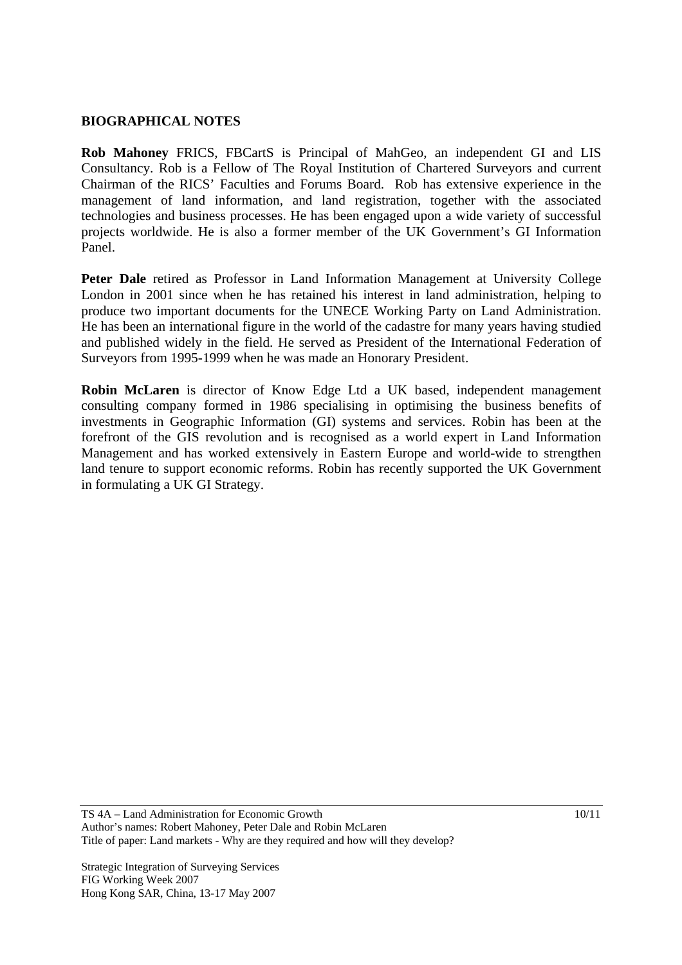#### **BIOGRAPHICAL NOTES**

**Rob Mahoney** FRICS, FBCartS is Principal of MahGeo, an independent GI and LIS Consultancy. Rob is a Fellow of The Royal Institution of Chartered Surveyors and current Chairman of the RICS' Faculties and Forums Board. Rob has extensive experience in the management of land information, and land registration, together with the associated technologies and business processes. He has been engaged upon a wide variety of successful projects worldwide. He is also a former member of the UK Government's GI Information Panel.

**Peter Dale** retired as Professor in Land Information Management at University College London in 2001 since when he has retained his interest in land administration, helping to produce two important documents for the UNECE Working Party on Land Administration. He has been an international figure in the world of the cadastre for many years having studied and published widely in the field. He served as President of the International Federation of Surveyors from 1995-1999 when he was made an Honorary President.

**Robin McLaren** is director of Know Edge Ltd a UK based, independent management consulting company formed in 1986 specialising in optimising the business benefits of investments in Geographic Information (GI) systems and services. Robin has been at the forefront of the GIS revolution and is recognised as a world expert in Land Information Management and has worked extensively in Eastern Europe and world-wide to strengthen land tenure to support economic reforms. Robin has recently supported the UK Government in formulating a UK GI Strategy.